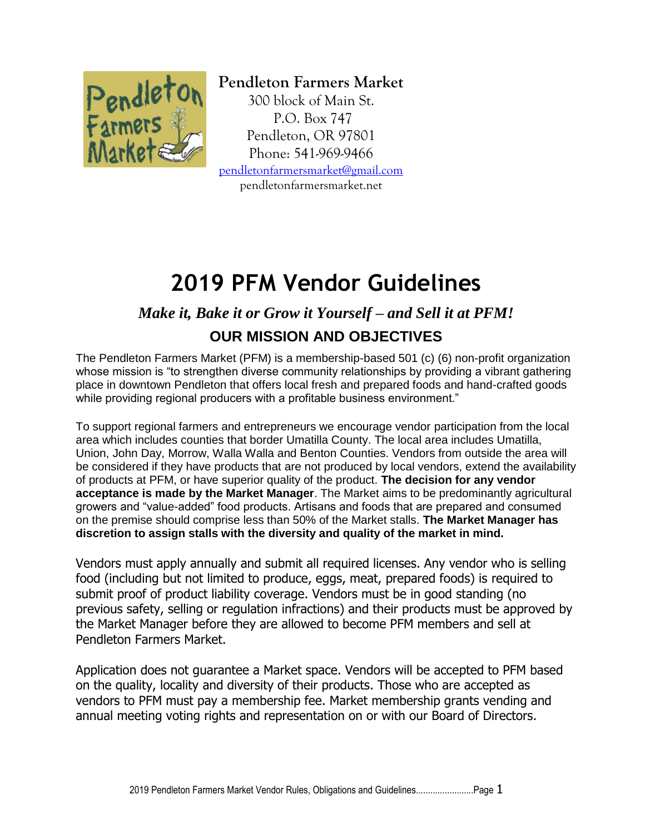

**Pendleton Farmers Market** 300 block of Main St. P.O. Box 747 Pendleton, OR 97801 Phone: 541-969-9466 [pendletonfarmersmarket@gmail.com](mailto:pendletonfarmersmarket@gmail.com) pendletonfarmersmarket.net

# **2019 PFM Vendor Guidelines**

# *Make it, Bake it or Grow it Yourself – and Sell it at PFM!*

# **OUR MISSION AND OBJECTIVES**

The Pendleton Farmers Market (PFM) is a membership-based 501 (c) (6) non-profit organization whose mission is "to strengthen diverse community relationships by providing a vibrant gathering place in downtown Pendleton that offers local fresh and prepared foods and hand-crafted goods while providing regional producers with a profitable business environment."

To support regional farmers and entrepreneurs we encourage vendor participation from the local area which includes counties that border Umatilla County. The local area includes Umatilla, Union, John Day, Morrow, Walla Walla and Benton Counties. Vendors from outside the area will be considered if they have products that are not produced by local vendors, extend the availability of products at PFM, or have superior quality of the product. **The decision for any vendor acceptance is made by the Market Manager**. The Market aims to be predominantly agricultural growers and "value-added" food products. Artisans and foods that are prepared and consumed on the premise should comprise less than 50% of the Market stalls. **The Market Manager has discretion to assign stalls with the diversity and quality of the market in mind.** 

Vendors must apply annually and submit all required licenses. Any vendor who is selling food (including but not limited to produce, eggs, meat, prepared foods) is required to submit proof of product liability coverage. Vendors must be in good standing (no previous safety, selling or regulation infractions) and their products must be approved by the Market Manager before they are allowed to become PFM members and sell at Pendleton Farmers Market.

Application does not guarantee a Market space. Vendors will be accepted to PFM based on the quality, locality and diversity of their products. Those who are accepted as vendors to PFM must pay a membership fee. Market membership grants vending and annual meeting voting rights and representation on or with our Board of Directors.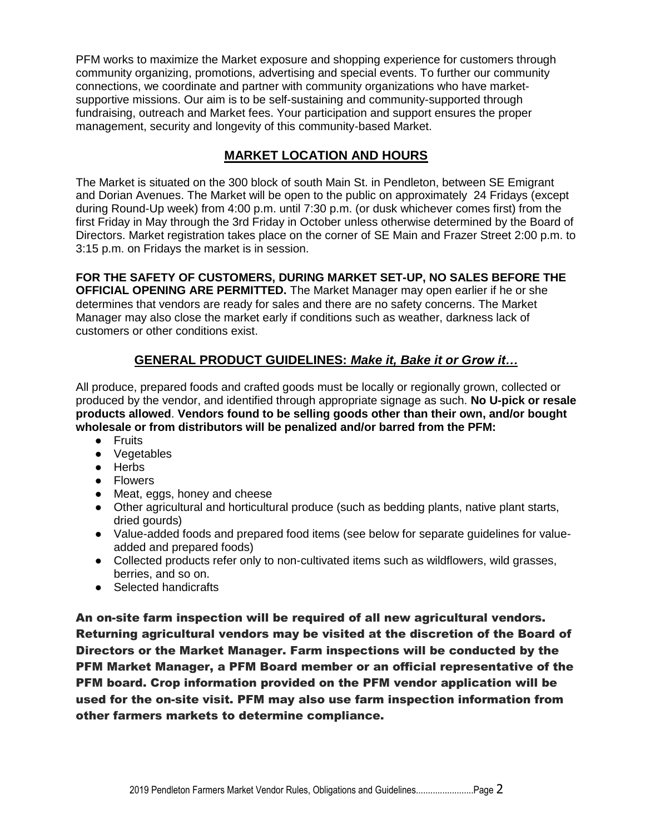PFM works to maximize the Market exposure and shopping experience for customers through community organizing, promotions, advertising and special events. To further our community connections, we coordinate and partner with community organizations who have marketsupportive missions. Our aim is to be self-sustaining and community-supported through fundraising, outreach and Market fees. Your participation and support ensures the proper management, security and longevity of this community-based Market.

# **MARKET LOCATION AND HOURS**

The Market is situated on the 300 block of south Main St. in Pendleton, between SE Emigrant and Dorian Avenues. The Market will be open to the public on approximately 24 Fridays (except during Round-Up week) from 4:00 p.m. until 7:30 p.m. (or dusk whichever comes first) from the first Friday in May through the 3rd Friday in October unless otherwise determined by the Board of Directors. Market registration takes place on the corner of SE Main and Frazer Street 2:00 p.m. to 3:15 p.m. on Fridays the market is in session.

**FOR THE SAFETY OF CUSTOMERS, DURING MARKET SET-UP, NO SALES BEFORE THE OFFICIAL OPENING ARE PERMITTED.** The Market Manager may open earlier if he or she determines that vendors are ready for sales and there are no safety concerns. The Market Manager may also close the market early if conditions such as weather, darkness lack of customers or other conditions exist.

# **GENERAL PRODUCT GUIDELINES:** *Make it, Bake it or Grow it…*

All produce, prepared foods and crafted goods must be locally or regionally grown, collected or produced by the vendor, and identified through appropriate signage as such. **No U-pick or resale products allowed**. **Vendors found to be selling goods other than their own, and/or bought wholesale or from distributors will be penalized and/or barred from the PFM:** 

- Fruits
- Vegetables
- Herbs
- Flowers
- Meat, eggs, honey and cheese
- Other agricultural and horticultural produce (such as bedding plants, native plant starts, dried gourds)
- Value-added foods and prepared food items (see below for separate guidelines for valueadded and prepared foods)
- Collected products refer only to non-cultivated items such as wildflowers, wild grasses, berries, and so on.
- Selected handicrafts

An on-site farm inspection will be required of all new agricultural vendors. Returning agricultural vendors may be visited at the discretion of the Board of Directors or the Market Manager. Farm inspections will be conducted by the PFM Market Manager, a PFM Board member or an official representative of the PFM board. Crop information provided on the PFM vendor application will be used for the on-site visit. PFM may also use farm inspection information from other farmers markets to determine compliance.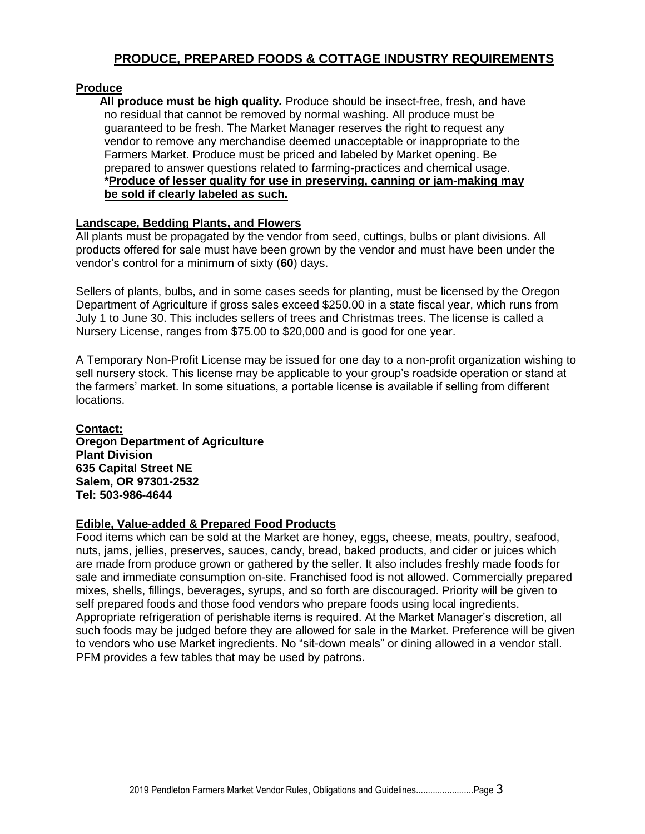# **PRODUCE, PREPARED FOODS & COTTAGE INDUSTRY REQUIREMENTS**

#### **Produce**

**All produce must be high quality***.* Produce should be insect-free, fresh, and have no residual that cannot be removed by normal washing. All produce must be guaranteed to be fresh. The Market Manager reserves the right to request any vendor to remove any merchandise deemed unacceptable or inappropriate to the Farmers Market. Produce must be priced and labeled by Market opening. Be prepared to answer questions related to farming-practices and chemical usage. **\*Produce of lesser quality for use in preserving, canning or jam-making may be sold if clearly labeled as such.**

#### **Landscape, Bedding Plants, and Flowers**

All plants must be propagated by the vendor from seed, cuttings, bulbs or plant divisions. All products offered for sale must have been grown by the vendor and must have been under the vendor's control for a minimum of sixty (**60**) days.

Sellers of plants, bulbs, and in some cases seeds for planting, must be licensed by the Oregon Department of Agriculture if gross sales exceed \$250.00 in a state fiscal year, which runs from July 1 to June 30. This includes sellers of trees and Christmas trees. The license is called a Nursery License, ranges from \$75.00 to \$20,000 and is good for one year.

A Temporary Non-Profit License may be issued for one day to a non-profit organization wishing to sell nursery stock. This license may be applicable to your group's roadside operation or stand at the farmers' market. In some situations, a portable license is available if selling from different locations.

**Contact: Oregon Department of Agriculture Plant Division 635 Capital Street NE Salem, OR 97301-2532 Tel: 503-986-4644**

#### **Edible, Value-added & Prepared Food Products**

Food items which can be sold at the Market are honey, eggs, cheese, meats, poultry, seafood, nuts, jams, jellies, preserves, sauces, candy, bread, baked products, and cider or juices which are made from produce grown or gathered by the seller. It also includes freshly made foods for sale and immediate consumption on-site. Franchised food is not allowed. Commercially prepared mixes, shells, fillings, beverages, syrups, and so forth are discouraged. Priority will be given to self prepared foods and those food vendors who prepare foods using local ingredients. Appropriate refrigeration of perishable items is required. At the Market Manager's discretion, all such foods may be judged before they are allowed for sale in the Market. Preference will be given to vendors who use Market ingredients. No "sit-down meals" or dining allowed in a vendor stall. PFM provides a few tables that may be used by patrons.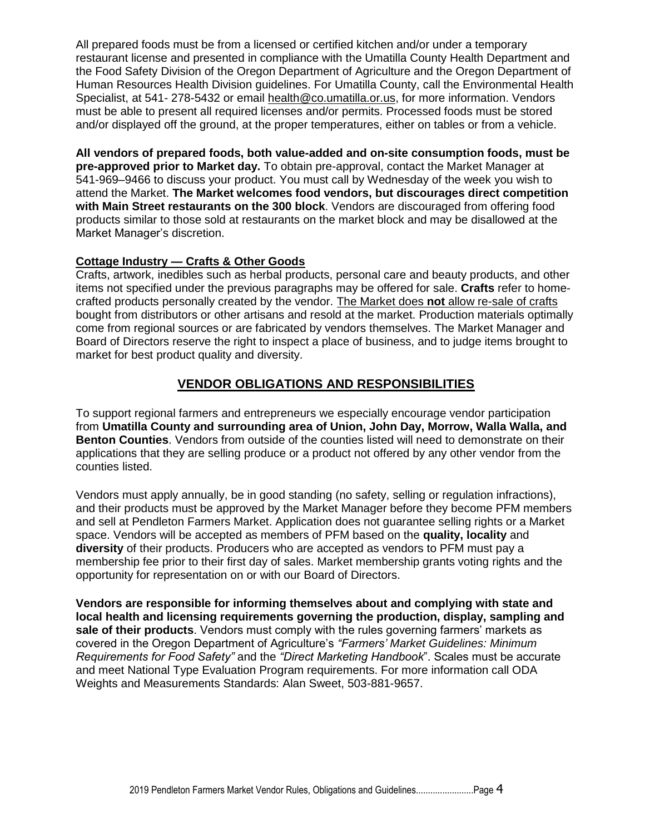All prepared foods must be from a licensed or certified kitchen and/or under a temporary restaurant license and presented in compliance with the Umatilla County Health Department and the Food Safety Division of the Oregon Department of Agriculture and the Oregon Department of Human Resources Health Division guidelines. For Umatilla County, call the Environmental Health Specialist, at 541- 278-5432 or email health@co.umatilla.or.us, for more information. Vendors must be able to present all required licenses and/or permits. Processed foods must be stored and/or displayed off the ground, at the proper temperatures, either on tables or from a vehicle.

**All vendors of prepared foods, both value-added and on-site consumption foods, must be pre-approved prior to Market day.** To obtain pre-approval, contact the Market Manager at 541-969–9466 to discuss your product. You must call by Wednesday of the week you wish to attend the Market. **The Market welcomes food vendors, but discourages direct competition with Main Street restaurants on the 300 block**. Vendors are discouraged from offering food products similar to those sold at restaurants on the market block and may be disallowed at the Market Manager's discretion.

#### **Cottage Industry — Crafts & Other Goods**

Crafts, artwork, inedibles such as herbal products, personal care and beauty products, and other items not specified under the previous paragraphs may be offered for sale. **Crafts** refer to homecrafted products personally created by the vendor. The Market does **not** allow re-sale of crafts bought from distributors or other artisans and resold at the market. Production materials optimally come from regional sources or are fabricated by vendors themselves. The Market Manager and Board of Directors reserve the right to inspect a place of business, and to judge items brought to market for best product quality and diversity.

### **VENDOR OBLIGATIONS AND RESPONSIBILITIES**

To support regional farmers and entrepreneurs we especially encourage vendor participation from **Umatilla County and surrounding area of Union, John Day, Morrow, Walla Walla, and Benton Counties**. Vendors from outside of the counties listed will need to demonstrate on their applications that they are selling produce or a product not offered by any other vendor from the counties listed.

Vendors must apply annually, be in good standing (no safety, selling or regulation infractions), and their products must be approved by the Market Manager before they become PFM members and sell at Pendleton Farmers Market. Application does not guarantee selling rights or a Market space. Vendors will be accepted as members of PFM based on the **quality, locality** and **diversity** of their products. Producers who are accepted as vendors to PFM must pay a membership fee prior to their first day of sales. Market membership grants voting rights and the opportunity for representation on or with our Board of Directors.

**Vendors are responsible for informing themselves about and complying with state and local health and licensing requirements governing the production, display, sampling and sale of their products**. Vendors must comply with the rules governing farmers' markets as covered in the Oregon Department of Agriculture's *"Farmers' Market Guidelines: Minimum Requirements for Food Safety"* and the *"Direct Marketing Handbook*". Scales must be accurate and meet National Type Evaluation Program requirements. For more information call ODA Weights and Measurements Standards: Alan Sweet, 503-881-9657.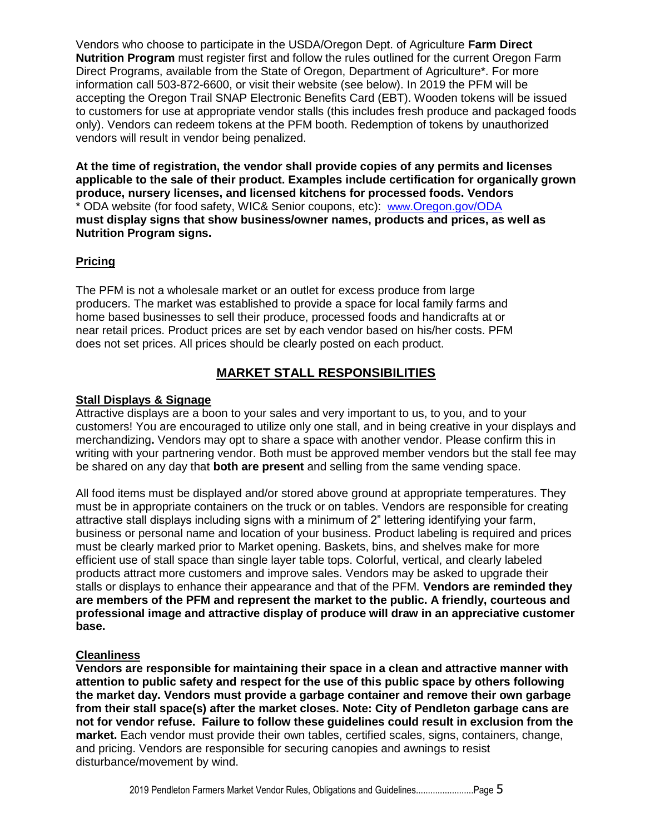Vendors who choose to participate in the USDA/Oregon Dept. of Agriculture **Farm Direct Nutrition Program** must register first and follow the rules outlined for the current Oregon Farm Direct Programs, available from the State of Oregon, Department of Agriculture\*. For more information call 503-872-6600, or visit their website (see below). In 2019 the PFM will be accepting the Oregon Trail SNAP Electronic Benefits Card (EBT). Wooden tokens will be issued to customers for use at appropriate vendor stalls (this includes fresh produce and packaged foods only). Vendors can redeem tokens at the PFM booth. Redemption of tokens by unauthorized vendors will result in vendor being penalized.

**At the time of registration, the vendor shall provide copies of any permits and licenses applicable to the sale of their product. Examples include certification for organically grown produce, nursery licenses, and licensed kitchens for processed foods. Vendors**  \* ODA website (for food safety, WIC& Senior coupons, etc): [www.](http://www.oregon.gov/ODA)[Oregon.gov/ODA](http://www.oregon.gov/ODA) **must display signs that show business/owner names, products and prices, as well as Nutrition Program signs.**

#### **Pricing**

The PFM is not a wholesale market or an outlet for excess produce from large producers. The market was established to provide a space for local family farms and home based businesses to sell their produce, processed foods and handicrafts at or near retail prices. Product prices are set by each vendor based on his/her costs. PFM does not set prices. All prices should be clearly posted on each product.

# **MARKET STALL RESPONSIBILITIES**

#### **Stall Displays & Signage**

Attractive displays are a boon to your sales and very important to us, to you, and to your customers! You are encouraged to utilize only one stall, and in being creative in your displays and merchandizing**.** Vendors may opt to share a space with another vendor. Please confirm this in writing with your partnering vendor. Both must be approved member vendors but the stall fee may be shared on any day that **both are present** and selling from the same vending space.

All food items must be displayed and/or stored above ground at appropriate temperatures. They must be in appropriate containers on the truck or on tables. Vendors are responsible for creating attractive stall displays including signs with a minimum of 2" lettering identifying your farm, business or personal name and location of your business. Product labeling is required and prices must be clearly marked prior to Market opening. Baskets, bins, and shelves make for more efficient use of stall space than single layer table tops. Colorful, vertical, and clearly labeled products attract more customers and improve sales. Vendors may be asked to upgrade their stalls or displays to enhance their appearance and that of the PFM. **Vendors are reminded they are members of the PFM and represent the market to the public. A friendly, courteous and professional image and attractive display of produce will draw in an appreciative customer base.**

#### **Cleanliness**

**Vendors are responsible for maintaining their space in a clean and attractive manner with attention to public safety and respect for the use of this public space by others following the market day. Vendors must provide a garbage container and remove their own garbage from their stall space(s) after the market closes. Note: City of Pendleton garbage cans are not for vendor refuse. Failure to follow these guidelines could result in exclusion from the market.** Each vendor must provide their own tables, certified scales, signs, containers, change, and pricing. Vendors are responsible for securing canopies and awnings to resist disturbance/movement by wind.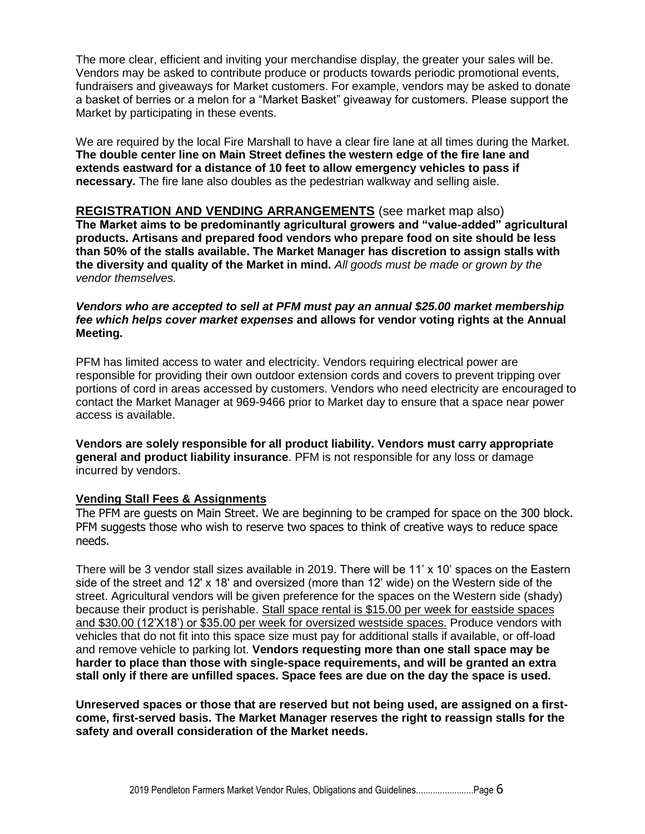The more clear, efficient and inviting your merchandise display, the greater your sales will be. Vendors may be asked to contribute produce or products towards periodic promotional events, fundraisers and giveaways for Market customers. For example, vendors may be asked to donate a basket of berries or a melon for a "Market Basket" giveaway for customers. Please support the Market by participating in these events.

We are required by the local Fire Marshall to have a clear fire lane at all times during the Market. **The double center line on Main Street defines the western edge of the fire lane and extends eastward for a distance of 10 feet to allow emergency vehicles to pass if necessary.** The fire lane also doubles as the pedestrian walkway and selling aisle.

#### **REGISTRATION AND VENDING ARRANGEMENTS** (see market map also)

**The Market aims to be predominantly agricultural growers and "value-added" agricultural products. Artisans and prepared food vendors who prepare food on site should be less than 50% of the stalls available. The Market Manager has discretion to assign stalls with the diversity and quality of the Market in mind.** *All goods must be made or grown by the vendor themselves.*

#### *Vendors who are accepted to sell at PFM must pay an annual \$25.00 market membership fee which helps cover market expenses* **and allows for vendor voting rights at the Annual Meeting.**

PFM has limited access to water and electricity. Vendors requiring electrical power are responsible for providing their own outdoor extension cords and covers to prevent tripping over portions of cord in areas accessed by customers. Vendors who need electricity are encouraged to contact the Market Manager at 969-9466 prior to Market day to ensure that a space near power access is available.

**Vendors are solely responsible for all product liability. Vendors must carry appropriate general and product liability insurance**. PFM is not responsible for any loss or damage incurred by vendors.

#### **Vending Stall Fees & Assignments**

The PFM are guests on Main Street. We are beginning to be cramped for space on the 300 block. PFM suggests those who wish to reserve two spaces to think of creative ways to reduce space needs.

There will be 3 vendor stall sizes available in 2019. There will be 11' x 10' spaces on the Eastern side of the street and 12' x 18' and oversized (more than 12' wide) on the Western side of the street. Agricultural vendors will be given preference for the spaces on the Western side (shady) because their product is perishable. Stall space rental is \$15.00 per week for eastside spaces and \$30.00 (12'X18') or \$35.00 per week for oversized westside spaces. Produce vendors with vehicles that do not fit into this space size must pay for additional stalls if available, or off-load and remove vehicle to parking lot. **Vendors requesting more than one stall space may be harder to place than those with single-space requirements, and will be granted an extra stall only if there are unfilled spaces. Space fees are due on the day the space is used.**

**Unreserved spaces or those that are reserved but not being used, are assigned on a firstcome, first-served basis. The Market Manager reserves the right to reassign stalls for the safety and overall consideration of the Market needs.**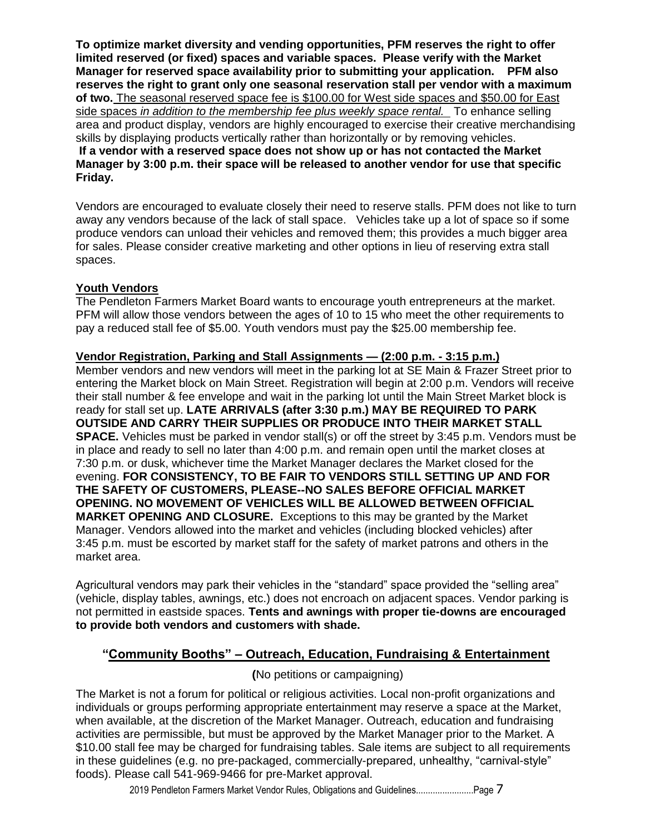**To optimize market diversity and vending opportunities, PFM reserves the right to offer limited reserved (or fixed) spaces and variable spaces. Please verify with the Market Manager for reserved space availability prior to submitting your application. PFM also reserves the right to grant only one seasonal reservation stall per vendor with a maximum of two.** The seasonal reserved space fee is \$100.00 for West side spaces and \$50.00 for East side spaces *in addition to the membership fee plus weekly space rental.* To enhance selling area and product display, vendors are highly encouraged to exercise their creative merchandising skills by displaying products vertically rather than horizontally or by removing vehicles. **If a vendor with a reserved space does not show up or has not contacted the Market Manager by 3:00 p.m. their space will be released to another vendor for use that specific Friday.**

Vendors are encouraged to evaluate closely their need to reserve stalls. PFM does not like to turn away any vendors because of the lack of stall space. Vehicles take up a lot of space so if some produce vendors can unload their vehicles and removed them; this provides a much bigger area for sales. Please consider creative marketing and other options in lieu of reserving extra stall spaces.

#### **Youth Vendors**

The Pendleton Farmers Market Board wants to encourage youth entrepreneurs at the market. PFM will allow those vendors between the ages of 10 to 15 who meet the other requirements to pay a reduced stall fee of \$5.00. Youth vendors must pay the \$25.00 membership fee.

#### **Vendor Registration, Parking and Stall Assignments — (2:00 p.m. - 3:15 p.m.)**

Member vendors and new vendors will meet in the parking lot at SE Main & Frazer Street prior to entering the Market block on Main Street. Registration will begin at 2:00 p.m. Vendors will receive their stall number & fee envelope and wait in the parking lot until the Main Street Market block is ready for stall set up. **LATE ARRIVALS (after 3:30 p.m.) MAY BE REQUIRED TO PARK OUTSIDE AND CARRY THEIR SUPPLIES OR PRODUCE INTO THEIR MARKET STALL SPACE.** Vehicles must be parked in vendor stall(s) or off the street by 3:45 p.m. Vendors must be in place and ready to sell no later than 4:00 p.m. and remain open until the market closes at 7:30 p.m. or dusk, whichever time the Market Manager declares the Market closed for the evening. **FOR CONSISTENCY, TO BE FAIR TO VENDORS STILL SETTING UP AND FOR THE SAFETY OF CUSTOMERS, PLEASE--NO SALES BEFORE OFFICIAL MARKET OPENING. NO MOVEMENT OF VEHICLES WILL BE ALLOWED BETWEEN OFFICIAL MARKET OPENING AND CLOSURE.** Exceptions to this may be granted by the Market Manager. Vendors allowed into the market and vehicles (including blocked vehicles) after 3:45 p.m. must be escorted by market staff for the safety of market patrons and others in the market area.

Agricultural vendors may park their vehicles in the "standard" space provided the "selling area" (vehicle, display tables, awnings, etc.) does not encroach on adjacent spaces. Vendor parking is not permitted in eastside spaces. **Tents and awnings with proper tie-downs are encouraged to provide both vendors and customers with shade.**

#### **"Community Booths" – Outreach, Education, Fundraising & Entertainment**

#### **(**No petitions or campaigning)

The Market is not a forum for political or religious activities. Local non-profit organizations and individuals or groups performing appropriate entertainment may reserve a space at the Market, when available, at the discretion of the Market Manager. Outreach, education and fundraising activities are permissible, but must be approved by the Market Manager prior to the Market. A \$10.00 stall fee may be charged for fundraising tables. Sale items are subject to all requirements in these guidelines (e.g. no pre-packaged, commercially-prepared, unhealthy, "carnival-style" foods). Please call 541-969-9466 for pre-Market approval.

2019 Pendleton Farmers Market Vendor Rules, Obligations and Guidelines..........................Page 7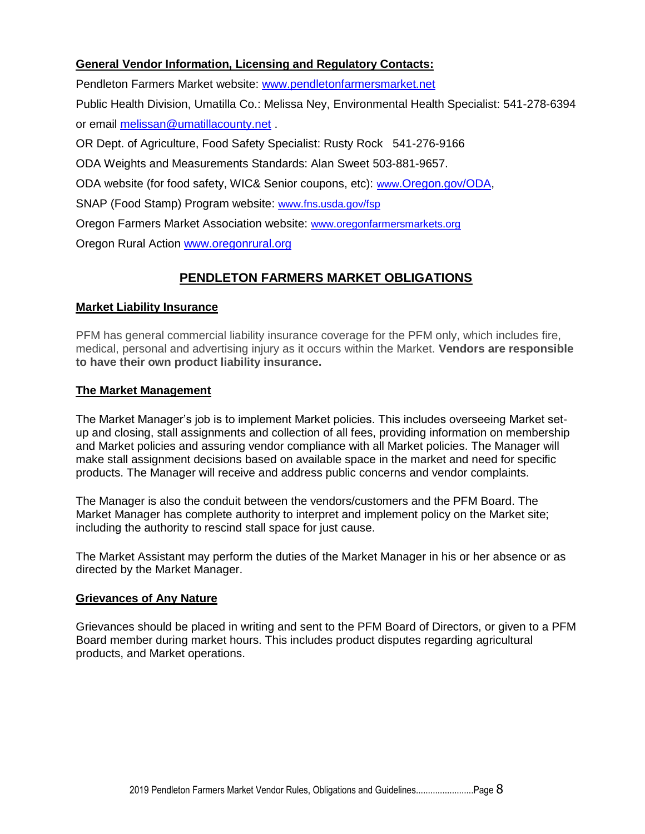#### **General Vendor Information, Licensing and Regulatory Contacts:**

Pendleton Farmers Market website: www.pendletonfarmersmarket.net

Public Health Division, Umatilla Co.: Melissa Ney, Environmental Health Specialist: 541-278-6394 or email [melissan@umatillacounty.net](mailto:melissan@umatillacounty.net) .

OR Dept. of Agriculture, Food Safety Specialist: Rusty Rock 541-276-9166

ODA Weights and Measurements Standards: Alan Sweet 503-881-9657.

ODA website (for food safety, WIC& Senior coupons, etc): [www.](http://www.oregon.gov/ODA)[Oregon.gov/ODA,](http://www.oregon.gov/ODA)

SNAP (Food Stamp) Program website: [www.fns.usda.gov/fsp](http://www.fns.usda.gove/fsp)

Oregon Farmers Market Association website: [www.oregonfarmersmarkets.org](http://www.oregonfarmersmarkets.org/)

Oregon Rural Action [www.oregonrural.org](http://www.oregonrural.org/)

# **PENDLETON FARMERS MARKET OBLIGATIONS**

#### **Market Liability Insurance**

PFM has general commercial liability insurance coverage for the PFM only, which includes fire, medical, personal and advertising injury as it occurs within the Market. **Vendors are responsible to have their own product liability insurance.**

#### **The Market Management**

The Market Manager's job is to implement Market policies. This includes overseeing Market setup and closing, stall assignments and collection of all fees, providing information on membership and Market policies and assuring vendor compliance with all Market policies. The Manager will make stall assignment decisions based on available space in the market and need for specific products. The Manager will receive and address public concerns and vendor complaints.

The Manager is also the conduit between the vendors/customers and the PFM Board. The Market Manager has complete authority to interpret and implement policy on the Market site; including the authority to rescind stall space for just cause.

The Market Assistant may perform the duties of the Market Manager in his or her absence or as directed by the Market Manager.

#### **Grievances of Any Nature**

Grievances should be placed in writing and sent to the PFM Board of Directors, or given to a PFM Board member during market hours. This includes product disputes regarding agricultural products, and Market operations.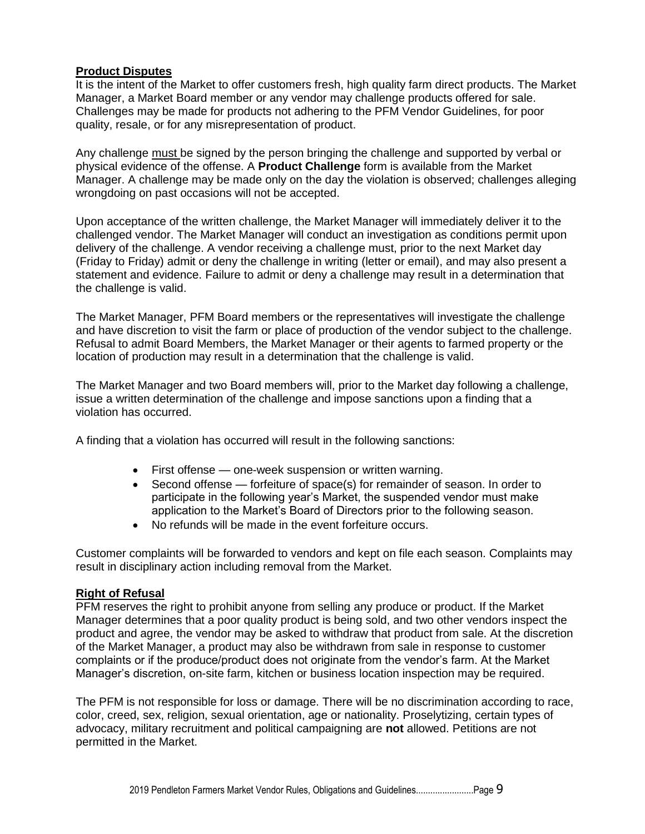#### **Product Disputes**

It is the intent of the Market to offer customers fresh, high quality farm direct products. The Market Manager, a Market Board member or any vendor may challenge products offered for sale. Challenges may be made for products not adhering to the PFM Vendor Guidelines, for poor quality, resale, or for any misrepresentation of product.

Any challenge must be signed by the person bringing the challenge and supported by verbal or physical evidence of the offense. A **Product Challenge** form is available from the Market Manager. A challenge may be made only on the day the violation is observed; challenges alleging wrongdoing on past occasions will not be accepted.

Upon acceptance of the written challenge, the Market Manager will immediately deliver it to the challenged vendor. The Market Manager will conduct an investigation as conditions permit upon delivery of the challenge. A vendor receiving a challenge must, prior to the next Market day (Friday to Friday) admit or deny the challenge in writing (letter or email), and may also present a statement and evidence. Failure to admit or deny a challenge may result in a determination that the challenge is valid.

The Market Manager, PFM Board members or the representatives will investigate the challenge and have discretion to visit the farm or place of production of the vendor subject to the challenge. Refusal to admit Board Members, the Market Manager or their agents to farmed property or the location of production may result in a determination that the challenge is valid.

The Market Manager and two Board members will, prior to the Market day following a challenge, issue a written determination of the challenge and impose sanctions upon a finding that a violation has occurred.

A finding that a violation has occurred will result in the following sanctions:

- First offense one-week suspension or written warning.
- Second offense forfeiture of space(s) for remainder of season. In order to participate in the following year's Market, the suspended vendor must make application to the Market's Board of Directors prior to the following season.
- No refunds will be made in the event forfeiture occurs.

Customer complaints will be forwarded to vendors and kept on file each season. Complaints may result in disciplinary action including removal from the Market.

#### **Right of Refusal**

PFM reserves the right to prohibit anyone from selling any produce or product. If the Market Manager determines that a poor quality product is being sold, and two other vendors inspect the product and agree, the vendor may be asked to withdraw that product from sale. At the discretion of the Market Manager, a product may also be withdrawn from sale in response to customer complaints or if the produce/product does not originate from the vendor's farm. At the Market Manager's discretion, on-site farm, kitchen or business location inspection may be required.

The PFM is not responsible for loss or damage. There will be no discrimination according to race, color, creed, sex, religion, sexual orientation, age or nationality. Proselytizing, certain types of advocacy, military recruitment and political campaigning are **not** allowed. Petitions are not permitted in the Market.